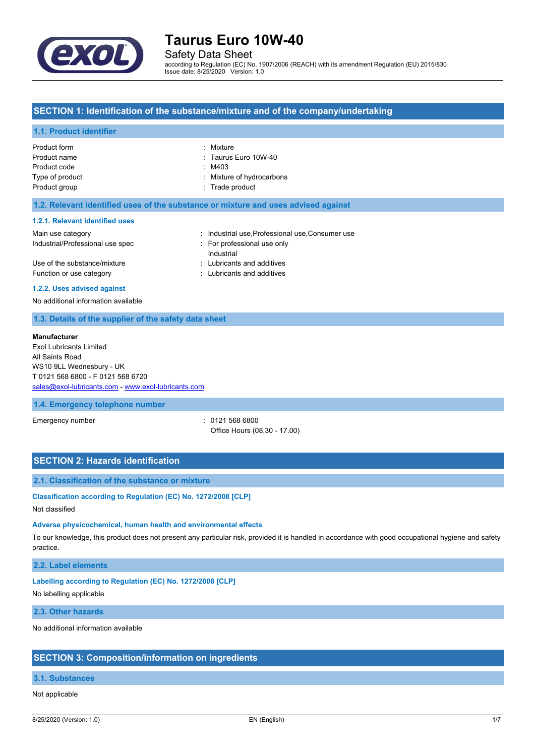

Safety Data Sheet

according to Regulation (EC) No. 1907/2006 (REACH) with its amendment Regulation (EU) 2015/830 Issue date: 8/25/2020 Version: 1.0

## **SECTION 1: Identification of the substance/mixture and of the company/undertaking**

#### **1.1. Product identifier**

| Product form    | : Mixture                 |
|-----------------|---------------------------|
| Product name    | : Taurus Euro 10W-40      |
| Product code    | : M403                    |
| Type of product | : Mixture of hydrocarbons |
| Product group   | : Trade product           |

#### **1.2. Relevant identified uses of the substance or mixture and uses advised against**

#### **1.2.1. Relevant identified uses**

| Main use category                | : Industrial use Professional use Consumer use |
|----------------------------------|------------------------------------------------|
| Industrial/Professional use spec | For professional use only                      |
|                                  | Industrial                                     |
| Use of the substance/mixture     | : Lubricants and additives                     |
| Function or use category         | : Lubricants and additives                     |
|                                  |                                                |

#### **1.2.2. Uses advised against**

No additional information available

## **1.3. Details of the supplier of the safety data sheet**

#### **Manufacturer**

Exol Lubricants Limited All Saints Road WS10 9LL Wednesbury - UK T 0121 568 6800 - F 0121 568 6720 [sales@exol-lubricants.com](mailto:sales@exol-lubricants.com) - <www.exol-lubricants.com>

#### **1.4. Emergency telephone number**

Emergency number : 0121 568 6800 Office Hours (08.30 - 17.00)

# **SECTION 2: Hazards identification**

#### **2.1. Classification of the substance or mixture**

### **Classification according to Regulation (EC) No. 1272/2008 [CLP]**

Not classified

## **Adverse physicochemical, human health and environmental effects**

To our knowledge, this product does not present any particular risk, provided it is handled in accordance with good occupational hygiene and safety practice.

#### **2.2. Label elements**

#### **Labelling according to Regulation (EC) No. 1272/2008 [CLP]**

No labelling applicable

#### **2.3. Other hazards**

No additional information available

#### **SECTION 3: Composition/information on ingredients**

# **3.1. Substances**

### Not applicable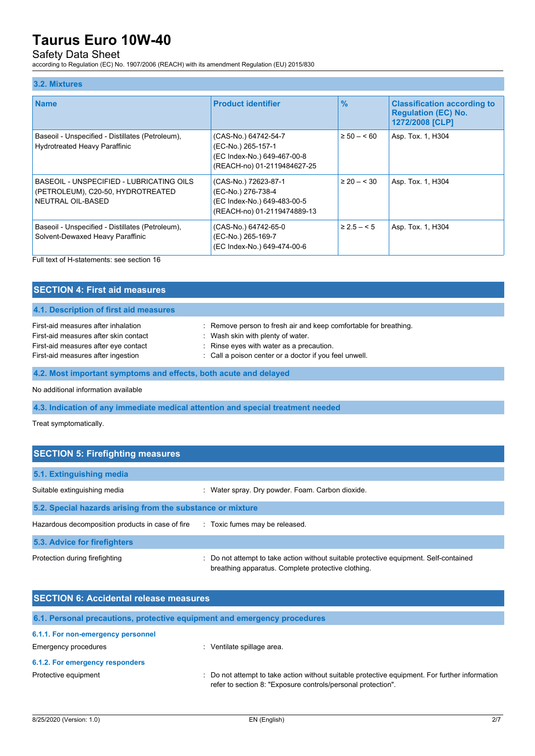# Safety Data Sheet

according to Regulation (EC) No. 1907/2006 (REACH) with its amendment Regulation (EU) 2015/830

# **3.2. Mixtures**

| <b>Name</b>                                                                                        | <b>Product identifier</b>                                                                                | $\frac{9}{6}$   | <b>Classification according to</b><br><b>Regulation (EC) No.</b><br>1272/2008 [CLP] |
|----------------------------------------------------------------------------------------------------|----------------------------------------------------------------------------------------------------------|-----------------|-------------------------------------------------------------------------------------|
| Baseoil - Unspecified - Distillates (Petroleum),<br><b>Hydrotreated Heavy Paraffinic</b>           | (CAS-No.) 64742-54-7<br>(EC-No.) 265-157-1<br>(EC Index-No.) 649-467-00-8<br>(REACH-no) 01-2119484627-25 | $\geq 50 - 60$  | Asp. Tox. 1, H304                                                                   |
| BASEOIL - UNSPECIFIED - LUBRICATING OILS<br>(PETROLEUM), C20-50, HYDROTREATED<br>NEUTRAL OIL-BASED | (CAS-No.) 72623-87-1<br>(EC-No.) 276-738-4<br>(EC Index-No.) 649-483-00-5<br>(REACH-no) 01-2119474889-13 | $\geq 20 - 530$ | Asp. Tox. 1, H304                                                                   |
| Baseoil - Unspecified - Distillates (Petroleum),<br>Solvent-Dewaxed Heavy Paraffinic               | (CAS-No.) 64742-65-0<br>(EC-No.) 265-169-7<br>(EC Index-No.) 649-474-00-6                                | $\geq 2.5 - 5$  | Asp. Tox. 1, H304                                                                   |

Full text of H-statements: see section 16

| <b>SECTION 4: First aid measures</b>                                                                                                                                                                                                 |                                                                                                                                                                                                             |  |
|--------------------------------------------------------------------------------------------------------------------------------------------------------------------------------------------------------------------------------------|-------------------------------------------------------------------------------------------------------------------------------------------------------------------------------------------------------------|--|
| 4.1. Description of first aid measures                                                                                                                                                                                               |                                                                                                                                                                                                             |  |
| First-aid measures after inhalation<br>First-aid measures after skin contact<br>First-aid measures after eye contact<br>First-aid measures after ingestion                                                                           | : Remove person to fresh air and keep comfortable for breathing.<br>: Wash skin with plenty of water.<br>: Rinse eyes with water as a precaution.<br>: Call a poison center or a doctor if you feel unwell. |  |
| 4.2. Most important symptoms and effects, both acute and delayed                                                                                                                                                                     |                                                                                                                                                                                                             |  |
| <b>All and all alternative and results and all alternative second later and set of the second second second second second second second second second second second second second second second second second second second seco</b> |                                                                                                                                                                                                             |  |

No additional information available

**4.3. Indication of any immediate medical attention and special treatment needed**

Treat symptomatically.

| <b>SECTION 5: Firefighting measures</b>                    |                                                                                                                                             |  |  |
|------------------------------------------------------------|---------------------------------------------------------------------------------------------------------------------------------------------|--|--|
| 5.1. Extinguishing media                                   |                                                                                                                                             |  |  |
| Suitable extinguishing media                               | : Water spray. Dry powder. Foam. Carbon dioxide.                                                                                            |  |  |
| 5.2. Special hazards arising from the substance or mixture |                                                                                                                                             |  |  |
| Hazardous decomposition products in case of fire           | : Toxic fumes may be released.                                                                                                              |  |  |
| 5.3. Advice for firefighters                               |                                                                                                                                             |  |  |
| Protection during firefighting                             | : Do not attempt to take action without suitable protective equipment. Self-contained<br>breathing apparatus. Complete protective clothing. |  |  |

| <b>SECTION 6: Accidental release measures</b> |                                                                                                                                                              |  |
|-----------------------------------------------|--------------------------------------------------------------------------------------------------------------------------------------------------------------|--|
|                                               | 6.1. Personal precautions, protective equipment and emergency procedures                                                                                     |  |
| 6.1.1. For non-emergency personnel            |                                                                                                                                                              |  |
| Emergency procedures                          | Ventilate spillage area.                                                                                                                                     |  |
| 6.1.2. For emergency responders               |                                                                                                                                                              |  |
| Protective equipment                          | Do not attempt to take action without suitable protective equipment. For further information<br>refer to section 8: "Exposure controls/personal protection". |  |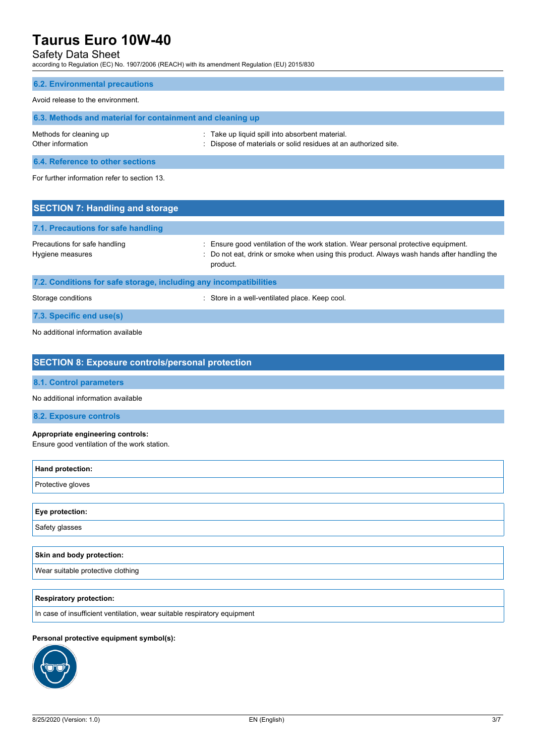# Safety Data Sheet

according to Regulation (EC) No. 1907/2006 (REACH) with its amendment Regulation (EU) 2015/830

# **6.2. Environmental precautions**

# Avoid release to the environment.

| 6.3. Methods and material for containment and cleaning up |                                                                                                                    |  |
|-----------------------------------------------------------|--------------------------------------------------------------------------------------------------------------------|--|
| Methods for cleaning up<br>Other information              | . Take up liquid spill into absorbent material.<br>: Dispose of materials or solid residues at an authorized site. |  |
| <b>CONTRACTOR</b> CONTRACTOR CONTRACTOR CONTRACTOR        |                                                                                                                    |  |

**6.4. Reference to other sections**

For further information refer to section 13.

| <b>SECTION 7: Handling and storage</b>                            |                                                                                                                                                                                              |  |
|-------------------------------------------------------------------|----------------------------------------------------------------------------------------------------------------------------------------------------------------------------------------------|--|
| 7.1. Precautions for safe handling                                |                                                                                                                                                                                              |  |
| Precautions for safe handling<br>Hygiene measures                 | : Ensure good ventilation of the work station. Wear personal protective equipment.<br>: Do not eat, drink or smoke when using this product. Always wash hands after handling the<br>product. |  |
| 7.2. Conditions for safe storage, including any incompatibilities |                                                                                                                                                                                              |  |
| Storage conditions                                                | : Store in a well-ventilated place. Keep cool.                                                                                                                                               |  |

**7.3. Specific end use(s)**

No additional information available

| <b>SECTION 8: Exposure controls/personal protection</b>                           |
|-----------------------------------------------------------------------------------|
| <b>8.1. Control parameters</b>                                                    |
| No additional information available                                               |
| 8.2. Exposure controls                                                            |
| Appropriate engineering controls:<br>Ensure good ventilation of the work station. |
| Hand protection:                                                                  |
| Protective gloves                                                                 |
|                                                                                   |
| Eye protection:                                                                   |
| Safety glasses                                                                    |
|                                                                                   |
| Skin and body protection:                                                         |
| Wear suitable protective clothing                                                 |
|                                                                                   |
| <b>Respiratory protection:</b>                                                    |
| In case of insufficient ventilation, wear suitable respiratory equipment          |
|                                                                                   |

## **Personal protective equipment symbol(s):**

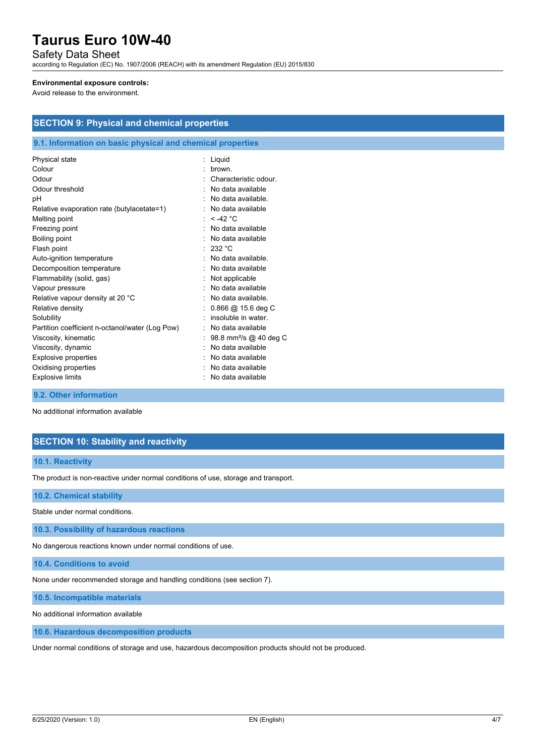## Safety Data Sheet

according to Regulation (EC) No. 1907/2006 (REACH) with its amendment Regulation (EU) 2015/830

#### **Environmental exposure controls:**

Avoid release to the environment.

# **SECTION 9: Physical and chemical properties**

### **9.1. Information on basic physical and chemical properties**

| Physical state                                  | Liquid                             |
|-------------------------------------------------|------------------------------------|
| Colour                                          | brown.                             |
| Odour                                           | Characteristic odour.              |
| Odour threshold                                 | No data available                  |
| рH                                              | No data available.                 |
| Relative evaporation rate (butylacetate=1)      | No data available                  |
| Melting point                                   | $< -42$ °C                         |
| Freezing point                                  | No data available                  |
| Boiling point                                   | No data available                  |
| Flash point                                     | : 232 °C                           |
| Auto-ignition temperature                       | No data available.                 |
| Decomposition temperature                       | No data available                  |
| Flammability (solid, gas)                       | Not applicable                     |
| Vapour pressure                                 | No data available                  |
| Relative vapour density at 20 °C                | No data available.                 |
| Relative density                                | $0.866$ @ 15.6 deg C               |
| Solubility                                      | insoluble in water.                |
| Partition coefficient n-octanol/water (Log Pow) | No data available                  |
| Viscosity, kinematic                            | 98.8 mm <sup>2</sup> /s @ 40 deg C |
| Viscosity, dynamic                              | No data available                  |
| <b>Explosive properties</b>                     | No data available                  |
| Oxidising properties                            | No data available                  |
| <b>Explosive limits</b>                         | No data available                  |
|                                                 |                                    |

### **9.2. Other information**

No additional information available

# **SECTION 10: Stability and reactivity**

#### **10.1. Reactivity**

The product is non-reactive under normal conditions of use, storage and transport.

#### **10.2. Chemical stability**

Stable under normal conditions.

**10.3. Possibility of hazardous reactions**

No dangerous reactions known under normal conditions of use.

**10.4. Conditions to avoid**

None under recommended storage and handling conditions (see section 7).

**10.5. Incompatible materials**

No additional information available

#### **10.6. Hazardous decomposition products**

Under normal conditions of storage and use, hazardous decomposition products should not be produced.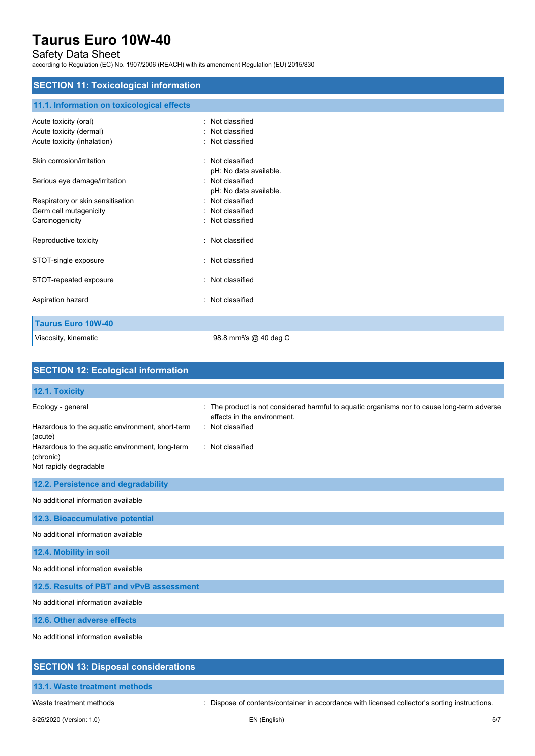# Safety Data Sheet

according to Regulation (EC) No. 1907/2006 (REACH) with its amendment Regulation (EU) 2015/830

# **SECTION 11: Toxicological information**

### **11.1. Information on toxicological effects**

| Acute toxicity (oral)             | Not classified                     |
|-----------------------------------|------------------------------------|
| Acute toxicity (dermal)           | Not classified                     |
| Acute toxicity (inhalation)       | Not classified                     |
|                                   |                                    |
| Skin corrosion/irritation         | : Not classified                   |
|                                   | pH: No data available.             |
| Serious eye damage/irritation     | : Not classified                   |
|                                   | pH: No data available.             |
| Respiratory or skin sensitisation | : Not classified                   |
| Germ cell mutagenicity            | : Not classified                   |
| Carcinogenicity                   | Not classified                     |
|                                   |                                    |
| Reproductive toxicity             | : Not classified                   |
|                                   |                                    |
| STOT-single exposure              | : Not classified                   |
|                                   |                                    |
| STOT-repeated exposure            | : Not classified                   |
|                                   | : Not classified                   |
| Aspiration hazard                 |                                    |
|                                   |                                    |
| <b>Taurus Euro 10W-40</b>         |                                    |
| Viscosity, kinematic              | 98.8 mm <sup>2</sup> /s @ 40 deg C |

| <b>SECTION 12: Ecological information</b>                                                                                                                                  |                                                                                                                                                                       |
|----------------------------------------------------------------------------------------------------------------------------------------------------------------------------|-----------------------------------------------------------------------------------------------------------------------------------------------------------------------|
| 12.1. Toxicity                                                                                                                                                             |                                                                                                                                                                       |
| Ecology - general<br>Hazardous to the aquatic environment, short-term<br>(acute)<br>Hazardous to the aquatic environment, long-term<br>(chronic)<br>Not rapidly degradable | The product is not considered harmful to aquatic organisms nor to cause long-term adverse<br>÷<br>effects in the environment.<br>: Not classified<br>: Not classified |
| 12.2. Persistence and degradability                                                                                                                                        |                                                                                                                                                                       |
| No additional information available                                                                                                                                        |                                                                                                                                                                       |
| 12.3. Bioaccumulative potential                                                                                                                                            |                                                                                                                                                                       |
| No additional information available                                                                                                                                        |                                                                                                                                                                       |
| 12.4. Mobility in soil                                                                                                                                                     |                                                                                                                                                                       |
| No additional information available                                                                                                                                        |                                                                                                                                                                       |
| 12.5. Results of PBT and vPvB assessment                                                                                                                                   |                                                                                                                                                                       |
| No additional information available                                                                                                                                        |                                                                                                                                                                       |
| 12.6. Other adverse effects                                                                                                                                                |                                                                                                                                                                       |
| No additional information available                                                                                                                                        |                                                                                                                                                                       |
| <b>SECTION 13: Disposal considerations</b>                                                                                                                                 |                                                                                                                                                                       |

## **13.1. Waste treatment methods**

Waste treatment methods : Dispose of contents/container in accordance with licensed collector's sorting instructions.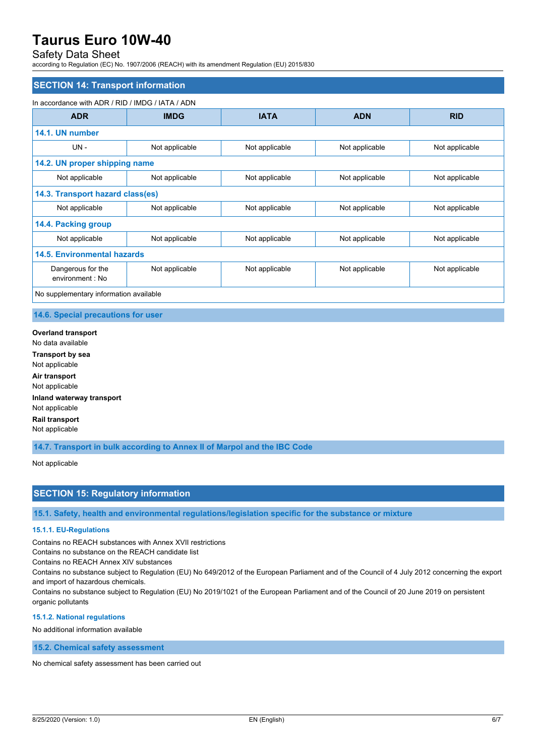# Safety Data Sheet

according to Regulation (EC) No. 1907/2006 (REACH) with its amendment Regulation (EU) 2015/830

### **SECTION 14: Transport information**

#### In accordance with ADR / RID / IMDG / IATA / ADN

| <b>ADR</b>                             | <b>IMDG</b>    | <b>IATA</b>    | <b>ADN</b>     | <b>RID</b>     |
|----------------------------------------|----------------|----------------|----------------|----------------|
| 14.1. UN number                        |                |                |                |                |
| UN-                                    | Not applicable | Not applicable | Not applicable | Not applicable |
| 14.2. UN proper shipping name          |                |                |                |                |
| Not applicable                         | Not applicable | Not applicable | Not applicable | Not applicable |
| 14.3. Transport hazard class(es)       |                |                |                |                |
| Not applicable                         | Not applicable | Not applicable | Not applicable | Not applicable |
| 14.4. Packing group                    |                |                |                |                |
| Not applicable                         | Not applicable | Not applicable | Not applicable | Not applicable |
| 14.5. Environmental hazards            |                |                |                |                |
| Dangerous for the<br>environment : No  | Not applicable | Not applicable | Not applicable | Not applicable |
| No supplementary information available |                |                |                |                |

#### **14.6. Special precautions for user**

**Overland transport** No data available **Transport by sea** Not applicable **Air transport** Not applicable **Inland waterway transport** Not applicable **Rail transport** Not applicable

**14.7. Transport in bulk according to Annex II of Marpol and the IBC Code**

Not applicable

# **SECTION 15: Regulatory information**

**15.1. Safety, health and environmental regulations/legislation specific for the substance or mixture**

#### **15.1.1. EU-Regulations**

Contains no REACH substances with Annex XVII restrictions

Contains no substance on the REACH candidate list

Contains no REACH Annex XIV substances

Contains no substance subject to Regulation (EU) No 649/2012 of the European Parliament and of the Council of 4 July 2012 concerning the export and import of hazardous chemicals.

Contains no substance subject to Regulation (EU) No 2019/1021 of the European Parliament and of the Council of 20 June 2019 on persistent organic pollutants

#### **15.1.2. National regulations**

No additional information available

**15.2. Chemical safety assessment**

No chemical safety assessment has been carried out